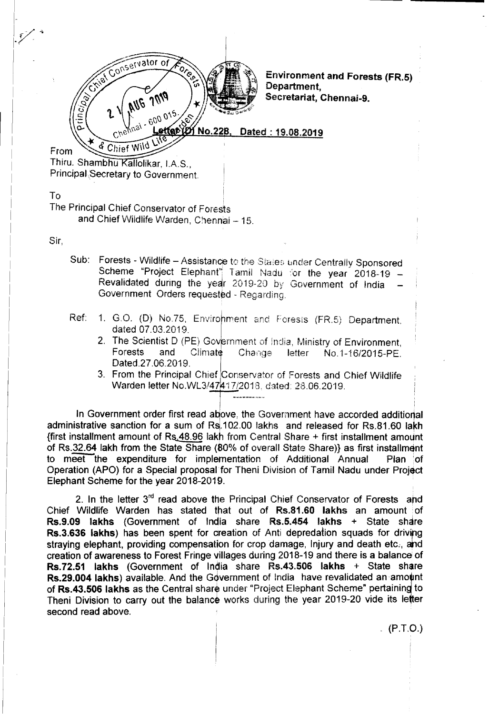

Environment and Forests (FR.S) Department, Secretariat, Chennai-9.

Dated: 19.08.2019

Thiru. Shambhu Kallolikar, I.A.S., Principal Secretary to Government.

& Chief Wild

To

From

The Principal Chief Conservator of Forests and Chief Wildlife Warden, Chennai - 15.

Sir,

- Sub: Forests Wildlife Assistance to the Stales under Centrally Sponsored Scheme "Project Elephant" Tamil Nadu for the year 2018-19 -Revalidated during the year 2019-20 by Government of India Government Orders requested - Regarding.
- Ref: 1. G.O. (D) No.75, Environment and Forests (FR.5) Department. dated 07.03.2019.
	- 2. The Scientist D (PE) Government of India, Ministry of Environment,<br>Forests and Climate Change letter No.1-16/2015-PE. For Change letter No.1-16/2015-PE. Dated.27.06.2019,
	- 3. From the Principal Chief Conservator of Forests and Chief Wildlife Warden letter NO.WL3/47 *17/2018,* dated: 28.06.2019,

In Government order first read above, the Government have accorded additional administrative sanction for a sum of Rs. 102.00 lakhs and released for Rs. 81.60 lakh  ${\it first}$  installment amount of Rs. 48.96 lakh from Central Share + first installment amount of RS.32.64 lakh from the State Share (80% of overall State Share)} as first installment to meet the expenditure for implementation of Additional Annual Plan *lof* Operation (APO) for a Special proposal for Theni Division of Tamil Nadu under Project Elephant Scheme for the year 2018-2019.

2. In the letter 3<sup>rd</sup> read above the Principal Chief Conservator of Forests and Chief Wildlife Warden has stated that out of Rs.81.60 lakhs an amount of Rs.9.09 lakhs (Government of India share Rs.S.4S4 lakhs + State share Rs.3.636 lakhs) has been spent for creation of Anti depredation squads for driving straying elephant, providing compensation for crop damage, Injury and death etc:, and creation of awareness to Forest Fringe villages during 2018-19 and there is a balance of Rs.72.S1 lakhs (Government of India share Rs.43.S0S lakhs + State share Rs.29.004 lakhs) available. And the Government of India have revalidated an amount of Rs.43.506 lakhs as the Central share under "Project Elephant Scheme" pertaining to Theni Division to carry out the balance works during the year 2019-20 vide its letter second read above.

 $(P.T.O.)$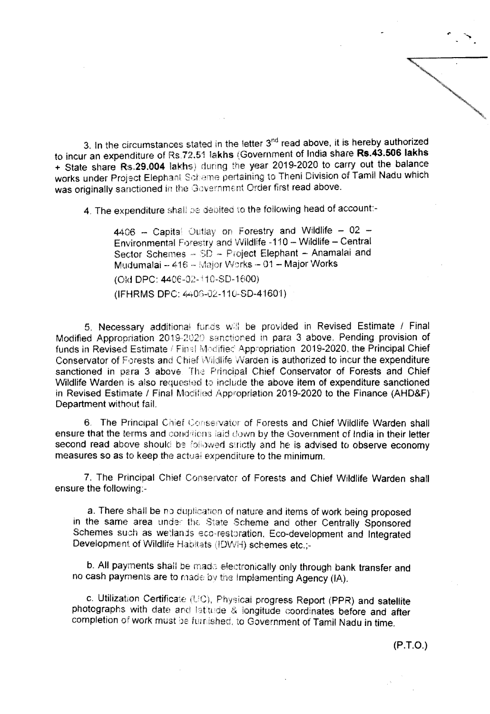3. In the circumstances stated in the letter 3<sup>nd</sup> read above, it is hereby authorized to incur an expenditure of RS.72.S1 lakhs (Government of India share **Rs.43.506** lakhs + State share Rs.29.004 lakhs) during the year 2019-2020 to carry out the balance works under Project Elephant Scheme pertaining to Theni Division of Tamil Nadu which was originally sanctioned in the Government Order first read above.

4. The expenditure shall be debited to the following head of account:-

 $4406$  - Capital Outlay on Forestry and Wildlife - 02 -Environmental Forestry and Wildlife -110 - Wildlife - Central Sector Schemes - SD - Project Elephant - Anamalai and Mudumalai -- 416 -- Major Works -- 01 -- Major Works

(Old OPC: 4406-02- 10-SD-1600)

(lFHRMS DPC: 4406-02-110-80-4'160'1)

5. Necessary aodltionai funds *v/H* be provided in Revised Estimate *I* Final Modified Appropriation 2019-2020 sanctioned in para 3 above. Pending provision of funds in Revised Estimate / Finel Modified Appropriation 2019-2020, the Principal Chief Conservator of Forests and Chief Wildlife Warden is authorized to incur the expenditure sanctioned in para 3 above. The Principal Chief Conservator of Forests and Chief Wildlife Warden is also requested to include the above item of expenditure sanctioned in Revised Estimate / Final Modified Appropriation 2019-2020 to the Finance (AHD&F) Department without fail.

6. The Principal Chief Conservator of Forests and Chief Wildlife Warden shall ensure that the terms and conditions laid down by the Government of India in their letter second read above should be followed strictly and he is advised to observe economy measures so as to keep the actual expenditure to the minimum.

7. The Principal Chief Conservator of Forests and Chief Wildlife Warden shall ensure the following:-

a. There shall be no duplication of nature and items of work being proposed in the same area under the State Scheme and other Centrally Sponsored Schemes such as wetlands eco-restoration, Eco-development and Integrated Development of Wildlife Habitats (!DWH) schemes etc.i-

b. All payments shall be made electronically only through bank transfer and no cash payments are to made by the Implementing Agency (IA).

c. Utilization Certificate (UC), Physical progress Report (PPR) and satellite photographs with date and latitude & longitude coordinates before and after completion of work must be furnished, to Government of Tamil Nadu in time.

(P.T.o.)